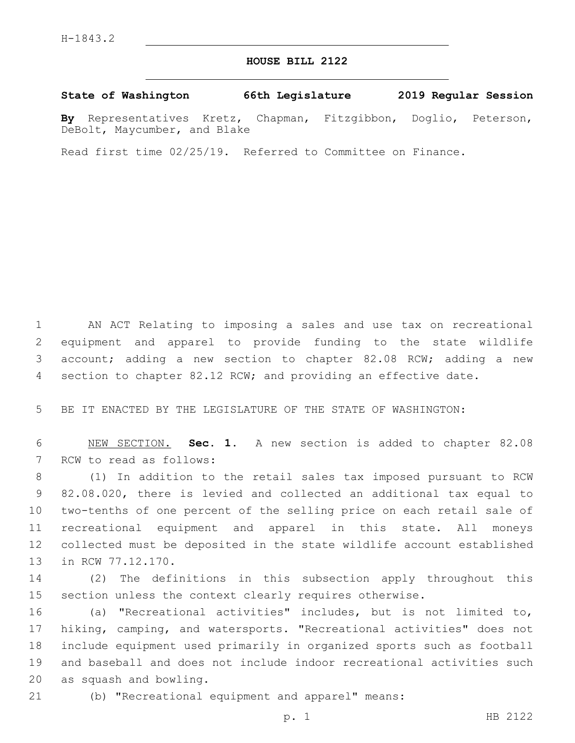## **HOUSE BILL 2122**

## **State of Washington 66th Legislature 2019 Regular Session**

**By** Representatives Kretz, Chapman, Fitzgibbon, Doglio, Peterson, DeBolt, Maycumber, and Blake

Read first time 02/25/19. Referred to Committee on Finance.

 AN ACT Relating to imposing a sales and use tax on recreational equipment and apparel to provide funding to the state wildlife account; adding a new section to chapter 82.08 RCW; adding a new section to chapter 82.12 RCW; and providing an effective date.

BE IT ENACTED BY THE LEGISLATURE OF THE STATE OF WASHINGTON:

 NEW SECTION. **Sec. 1.** A new section is added to chapter 82.08 7 RCW to read as follows:

 (1) In addition to the retail sales tax imposed pursuant to RCW 82.08.020, there is levied and collected an additional tax equal to two-tenths of one percent of the selling price on each retail sale of recreational equipment and apparel in this state. All moneys collected must be deposited in the state wildlife account established 13 in RCW 77.12.170.

 (2) The definitions in this subsection apply throughout this section unless the context clearly requires otherwise.

 (a) "Recreational activities" includes, but is not limited to, hiking, camping, and watersports. "Recreational activities" does not include equipment used primarily in organized sports such as football and baseball and does not include indoor recreational activities such 20 as squash and bowling.

(b) "Recreational equipment and apparel" means: